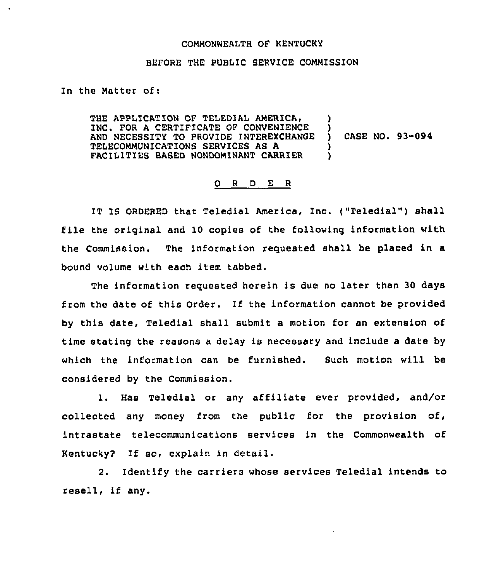## COMMONNEALTH OF KENTUCKY

## BEFORE THE PUBLIC SERVICE COMMISSION

In the Matter of:

THE APPLICATION OF TELEDIAL AMERICA, INC. FOR A CERTIFICATE OF CONVENIENCE AND NECESSITY TO PROVIDE INTEREXCHANGE TELECOMMUNICATIONS SERVICES AS A FACILITIES BASED NONDOMINANT CARRIER )  $\mathbf{L}$ ) CASE NO. 93-094 )

## 0 <sup>R</sup> <sup>D</sup> E R

IT IS ORDERED that Teledial America, Inc. ("Teledial") shall file the original and 10 copies of the following information with the Commission. The information requested shall be placed in a bound volume with each item tabbed.

The information requested herein is due no later than 30 days from the date of this Order. If the information cannot be provided by this date, Teledial shall submit a motion for an extension of time stating the reasons a delay is necessary and include a date by which the information can be furnished. Such motion will be considered by the Commission.

1. Has Teledial or any affiliate ever provided, and/or collected any money from the public for the provision of, intrastate telecommunications services in the Commonwealth of Kentucky2 If so, explain in detail.

2. Identify the carriers whose services Teledial intends to resell, if any.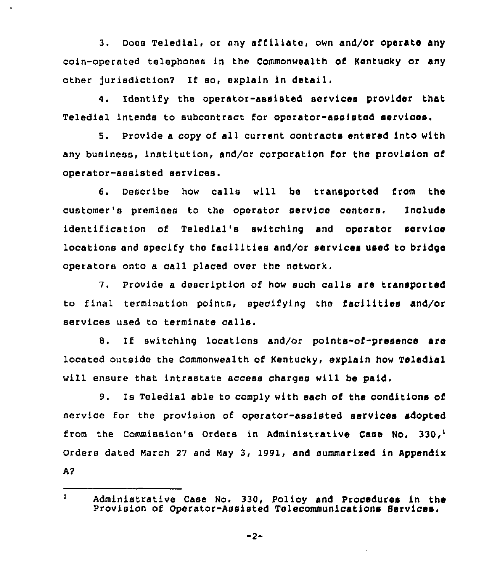3. Does Teledial, or any affiliate, own and/or operate any coin-operated telephones in the Commonwealth of Kentucky or any other jurisdiction2 If so, explain in detail.

í.

4. Identify the operator-assisted services provider that Teledial intends to subcontract for operator-assisted services.

Provide a copy of all current contracts entered into with any business, institution, and/or corporation for the provision of operator-assisted services.

6. Describe how calls will be transported from the customer's premises to the operator service centers. Include identification of Teledlal's switching and operator service locations and specify the facilities and/or services used to bridge operators onto a call placed over the network.

7. Provide <sup>a</sup> description of how such calls sre transported to final termination points, specifying the facilities and/or services used to terminate calls.

8. If switching locations and/or points-of-presence are located outside the Commonwealth of Kentucky, explain how Teledlal will ensure that intrastate access charges will be paid.

9. Is Teledial able to comply with each of the conditions of service for the provision of operator-assisted services adopted from the Commission's Orders in Administrative Case No. 330,<sup>1</sup> Orders dated March 27 and May 3, 1991, and summarized in Appendix  $A<sup>2</sup>$ 

 $-2-$ 

 $\mathbf{1}$ Administrative Case No. 330, Policy and Procedures ln the Provision of Operator-Assisted Telecommunications Services.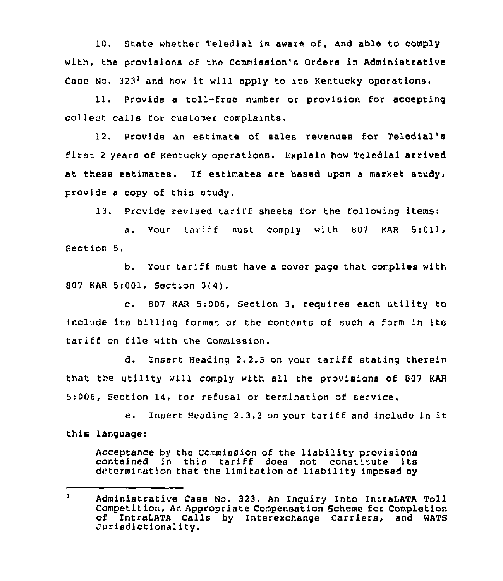10. State whether Teledial is aware of, and able to comply with, the provisions of the Commission's Orders in Administrative Case No.  $323<sup>2</sup>$  and how it will apply to its Kentucky operations.

11. Provide a toll-free number or provision for accepting collect calls for customer complaints.

12. Provide an estimate of sales revenues for Teledial's first <sup>2</sup> years of Kentucky operations. Explain how Teledial arrived at these estimates. If estimates are based upon a market study, provide a copy of this study.

13. Provide revised tariff sheets for the following items<

a. Your tariff must comply with 807 KAR 5:011, Section 5.

b. Your tariff must have <sup>a</sup> cover page that complies with 807 KAR 5:001, Section 3(4).

c. <sup>807</sup> KAR 5:006, Section 3, requires each utility to include its billing format or the contents of such <sup>a</sup> form in its tariff on file with the Commission.

d. Insert Heading 2.2.5 on your tariff stating therein that the utility will comply with all the provisions of 807 KAR 5:006, Section 14, for refusal or termination of service.

e. Insert Heading 2.3.3 on your tariff and include in it this language:

Acceptance by the Commission of the liability provisions contained in this tariff does not constitute its determination that the limitation of liability imposed by

 $\mathbf{z}$ Administrative Case No. 323, An Inquiry Into IntraLATA Toll of IntraLATA Calls by Interexchange Carriers, and WATS<br>Jurisdictionality.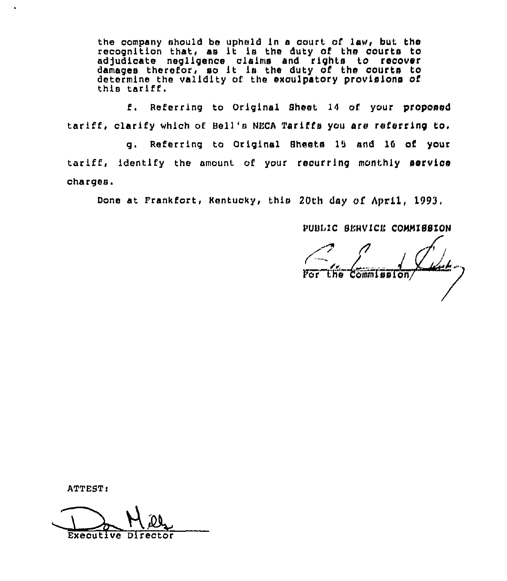the company should be upheld in a court of law, but the recognition that, as it is the duty of the courts to adjudicate negligence claims and rights to recover damages therefor, so lt ls the duty of the courts to determine the validity of the excuipatory provisions of this tariff.

f. Referring to Original Sheet 14 of your proposed tariff, clarify which of Bell's NECA Tariffs you are referring to.

g, Referring to Original Sheets 15 and 16 of your tariff, identify the amount. of your recurring monthly service charges.

Done at Frankfort, Kentucky, this 20th day of April, 1993,

PUBLIC SENVICE COHNISSION

the Commission

ATTEST:

Executive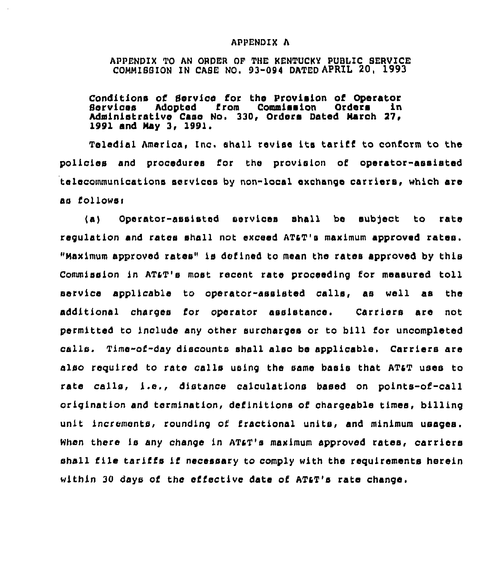## APPENDIX A

APPENDIX TO AN ORDER OF THE HENTUCKY PUBLIC SERVICE COMMISSION IN CASE NO. 93-094 DATED APRIL 20, 1993

Conditions of Service for the Provision of Operator<br>Services Adopted from Commission Orders in Services Adopted from Commission Orders in Administrative Case No. 330, Orders Dated March 27, 1991 and May 3, 1991.

Teledial America, Inc. shall revise its tariff to conform to the policies and procedures I'or the provision of operator-assisted telecommunications services by non-local exchange carriers, which are as follows:

(a) Operator-assisted services shall be subject to rate regulation and rates shall not exceed ATaT's maximum approved rates. "Maximum approved rates" is defined to mean the rates approved by this Commission in AT&T's most recent rate proceeding for measured toll service applicable to operator-assisted calls, as well as the additional charges for operator assistance. Carriers are not permitted to include any other surcharges or to bill for uncompleted calls. Time-of-day discounts shall also be applicable, Carriers are also required to rate calls using the same basis that ATaT uses to rate calls, i.e., distance calculations based on points-of-call origination and termination, definitions of chargeable times, billing unit increments, rounding of fractional units, and minimum usages. When there is any change in AT&T's maximum approved rates, carriers shall file tariffs if necessary to comply with the requirements herein within 30 days of the effective date of AT&T's rate change.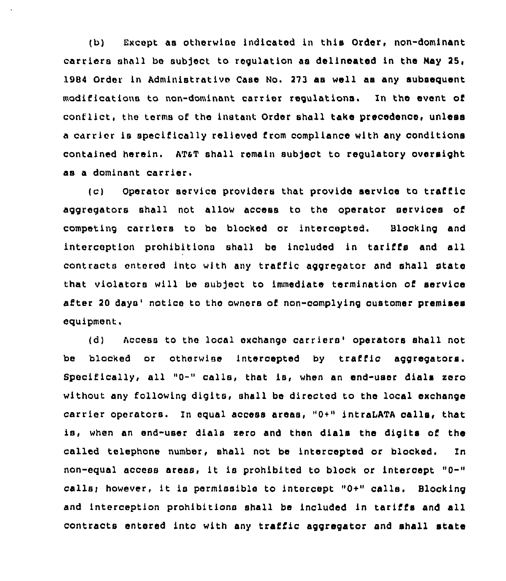(b) Except as otherwise indicated in this Order, non-dominant carriers shall be subject to regulation as delineated in the Nay 25, 1984 Order in Administrative Case No. 273 as well as any subsequent modifications to non-dominant carrier regulations. In the event of conflict, the terms of the instant Order shall take precedence, unless a carrier is specifically relieved from compliance with any conditions contained herein. ATaT shall remain subject to regulatory oversight as a dominant carrier.

(c) Operator service providers that provide service to traffic aggregators shall not allow access to the operator services of competing carriers to be blocked or intercepted. Blocking and interception prohibitions shall be included in tariffs and all contracts entered into with any traffic aggregator and shall state that violators will be subject to immediate termination of service after 20 days' notice to the owners of non-complying oustomer premises equipment,

(d) Access to the local exchange carriers'perators shall not be blocked or otherwise intercepted by traffic aggregators. Specifically, all "0-" calls, that is, when an end-user dials zero without any following digits, shall be directed to the local exchange carrier operators. In equal access areas, "0+" intraLATA calls, that is, when an end-user dials zero and then dials the digits of the called telephone number, shall not be intercepted or blocked. In non-equal access areas, it is prohibited to block or intercept "0-" callsi however, it is permissible to intercept "0+" calls. Blocking and interception prohibitions shall be included in tariffs and all contracts entered into with any traffic aggregator and shall state